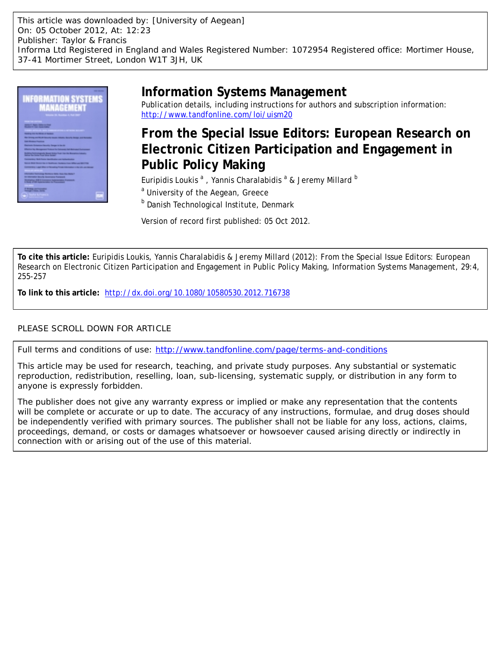This article was downloaded by: [University of Aegean] On: 05 October 2012, At: 12:23 Publisher: Taylor & Francis Informa Ltd Registered in England and Wales Registered Number: 1072954 Registered office: Mortimer House, 37-41 Mortimer Street, London W1T 3JH, UK



## **Information Systems Management**

Publication details, including instructions for authors and subscription information: <http://www.tandfonline.com/loi/uism20>

# **From the Special Issue Editors: European Research on Electronic Citizen Participation and Engagement in Public Policy Making**

Euripidis Loukis <sup>a</sup>, Yannis Charalabidis <sup>a</sup> & Jeremy Millard <sup>b</sup>

<sup>a</sup> University of the Aegean, Greece

<sup>b</sup> Danish Technological Institute, Denmark

Version of record first published: 05 Oct 2012.

**To cite this article:** Euripidis Loukis, Yannis Charalabidis & Jeremy Millard (2012): From the Special Issue Editors: European Research on Electronic Citizen Participation and Engagement in Public Policy Making, Information Systems Management, 29:4, 255-257

**To link to this article:** <http://dx.doi.org/10.1080/10580530.2012.716738>

### PLEASE SCROLL DOWN FOR ARTICLE

Full terms and conditions of use:<http://www.tandfonline.com/page/terms-and-conditions>

This article may be used for research, teaching, and private study purposes. Any substantial or systematic reproduction, redistribution, reselling, loan, sub-licensing, systematic supply, or distribution in any form to anyone is expressly forbidden.

The publisher does not give any warranty express or implied or make any representation that the contents will be complete or accurate or up to date. The accuracy of any instructions, formulae, and drug doses should be independently verified with primary sources. The publisher shall not be liable for any loss, actions, claims, proceedings, demand, or costs or damages whatsoever or howsoever caused arising directly or indirectly in connection with or arising out of the use of this material.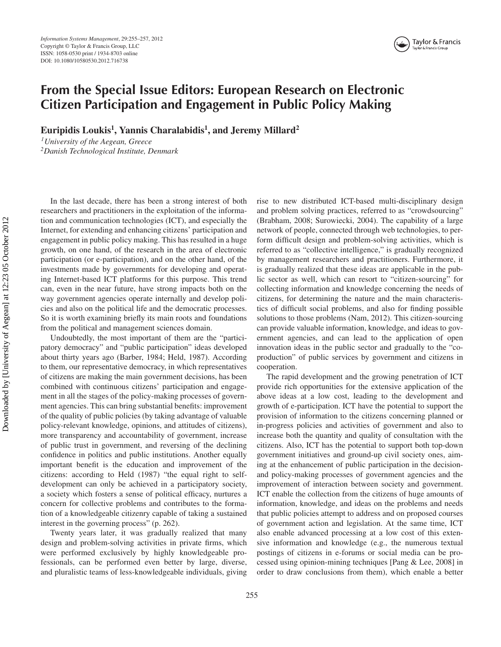

## **From the Special Issue Editors: European Research on Electronic Citizen Participation and Engagement in Public Policy Making**

**Euripidis Loukis1 , Yannis Charalabidis<sup>1</sup> , and Jeremy Millard2**

*1University of the Aegean, Greece 2Danish Technological Institute, Denmark*

In the last decade, there has been a strong interest of both researchers and practitioners in the exploitation of the information and communication technologies (ICT), and especially the Internet, for extending and enhancing citizens' participation and engagement in public policy making. This has resulted in a huge growth, on one hand, of the research in the area of electronic participation (or e-participation), and on the other hand, of the investments made by governments for developing and operating Internet-based ICT platforms for this purpose. This trend can, even in the near future, have strong impacts both on the way government agencies operate internally and develop policies and also on the political life and the democratic processes. So it is worth examining briefly its main roots and foundations from the political and management sciences domain.

Undoubtedly, the most important of them are the "participatory democracy" and "public participation" ideas developed about thirty years ago (Barber, 1984; Held, 1987). According to them, our representative democracy, in which representatives of citizens are making the main government decisions, has been combined with continuous citizens' participation and engagement in all the stages of the policy-making processes of government agencies. This can bring substantial benefits: improvement of the quality of public policies (by taking advantage of valuable policy-relevant knowledge, opinions, and attitudes of citizens), more transparency and accountability of government, increase of public trust in government, and reversing of the declining confidence in politics and public institutions. Another equally important benefit is the education and improvement of the citizens: according to Held (1987) "the equal right to selfdevelopment can only be achieved in a participatory society, a society which fosters a sense of political efficacy, nurtures a concern for collective problems and contributes to the formation of a knowledgeable citizenry capable of taking a sustained interest in the governing process" (p. 262).

Twenty years later, it was gradually realized that many design and problem-solving activities in private firms, which were performed exclusively by highly knowledgeable professionals, can be performed even better by large, diverse, and pluralistic teams of less-knowledgeable individuals, giving rise to new distributed ICT-based multi-disciplinary design and problem solving practices, referred to as "crowdsourcing" (Brabham, 2008; Surowiecki, 2004). The capability of a large network of people, connected through web technologies, to perform difficult design and problem-solving activities, which is referred to as "collective intelligence," is gradually recognized by management researchers and practitioners. Furthermore, it is gradually realized that these ideas are applicable in the public sector as well, which can resort to "citizen-sourcing" for collecting information and knowledge concerning the needs of citizens, for determining the nature and the main characteristics of difficult social problems, and also for finding possible solutions to those problems (Nam, 2012). This citizen-sourcing can provide valuable information, knowledge, and ideas to government agencies, and can lead to the application of open innovation ideas in the public sector and gradually to the "coproduction" of public services by government and citizens in cooperation.

The rapid development and the growing penetration of ICT provide rich opportunities for the extensive application of the above ideas at a low cost, leading to the development and growth of e-participation. ICT have the potential to support the provision of information to the citizens concerning planned or in-progress policies and activities of government and also to increase both the quantity and quality of consultation with the citizens. Also, ICT has the potential to support both top-down government initiatives and ground-up civil society ones, aiming at the enhancement of public participation in the decisionand policy-making processes of government agencies and the improvement of interaction between society and government. ICT enable the collection from the citizens of huge amounts of information, knowledge, and ideas on the problems and needs that public policies attempt to address and on proposed courses of government action and legislation. At the same time, ICT also enable advanced processing at a low cost of this extensive information and knowledge (e.g., the numerous textual postings of citizens in e-forums or social media can be processed using opinion-mining techniques [Pang & Lee, 2008] in order to draw conclusions from them), which enable a better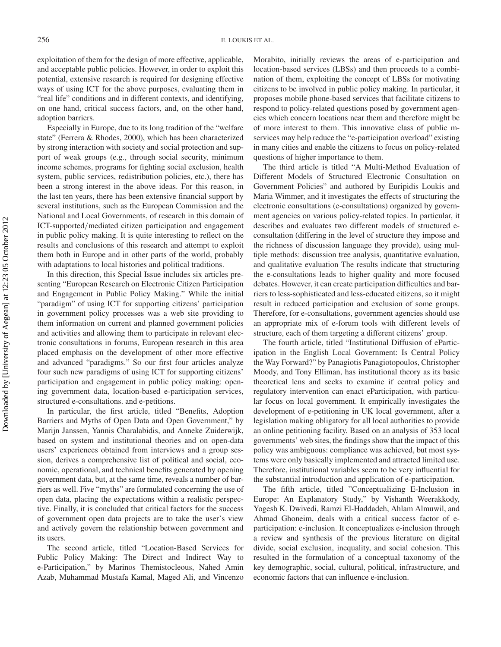exploitation of them for the design of more effective, applicable, and acceptable public policies. However, in order to exploit this potential, extensive research is required for designing effective ways of using ICT for the above purposes, evaluating them in "real life" conditions and in different contexts, and identifying, on one hand, critical success factors, and, on the other hand, adoption barriers.

Especially in Europe, due to its long tradition of the "welfare state" (Ferrera & Rhodes, 2000), which has been characterized by strong interaction with society and social protection and support of weak groups (e.g., through social security, minimum income schemes, programs for fighting social exclusion, health system, public services, redistribution policies, etc.), there has been a strong interest in the above ideas. For this reason, in the last ten years, there has been extensive financial support by several institutions, such as the European Commission and the National and Local Governments, of research in this domain of ICT-supported*/*mediated citizen participation and engagement in public policy making. It is quite interesting to reflect on the results and conclusions of this research and attempt to exploit them both in Europe and in other parts of the world, probably with adaptations to local histories and political traditions.

In this direction, this Special Issue includes six articles presenting "European Research on Electronic Citizen Participation and Engagement in Public Policy Making." While the initial "paradigm" of using ICT for supporting citizens' participation in government policy processes was a web site providing to them information on current and planned government policies and activities and allowing them to participate in relevant electronic consultations in forums, European research in this area placed emphasis on the development of other more effective and advanced "paradigms." So our first four articles analyze four such new paradigms of using ICT for supporting citizens' participation and engagement in public policy making: opening government data, location-based e-participation services, structured e-consultations. and e-petitions.

In particular, the first article, titled "Benefits, Adoption Barriers and Myths of Open Data and Open Government," by Marijn Janssen, Yannis Charalabidis, and Anneke Zuiderwijk, based on system and institutional theories and on open-data users' experiences obtained from interviews and a group session, derives a comprehensive list of political and social, economic, operational, and technical benefits generated by opening government data, but, at the same time, reveals a number of barriers as well. Five "myths" are formulated concerning the use of open data, placing the expectations within a realistic perspective. Finally, it is concluded that critical factors for the success of government open data projects are to take the user's view and actively govern the relationship between government and its users.

The second article, titled "Location-Based Services for Public Policy Making: The Direct and Indirect Way to e-Participation," by Marinos Themistocleous, Nahed Amin Azab, Muhammad Mustafa Kamal, Maged Ali, and Vincenzo

Morabito, initially reviews the areas of e-participation and location-based services (LBSs) and then proceeds to a combination of them, exploiting the concept of LBSs for motivating citizens to be involved in public policy making. In particular, it proposes mobile phone-based services that facilitate citizens to respond to policy-related questions posed by government agencies which concern locations near them and therefore might be of more interest to them. This innovative class of public mservices may help reduce the "e-participation overload" existing in many cities and enable the citizens to focus on policy-related questions of higher importance to them.

The third article is titled "A Multi-Method Evaluation of Different Models of Structured Electronic Consultation on Government Policies" and authored by Euripidis Loukis and Maria Wimmer, and it investigates the effects of structuring the electronic consultations (e-consultations) organized by government agencies on various policy-related topics. In particular, it describes and evaluates two different models of structured econsultation (differing in the level of structure they impose and the richness of discussion language they provide), using multiple methods: discussion tree analysis, quantitative evaluation, and qualitative evaluation The results indicate that structuring the e-consultations leads to higher quality and more focused debates. However, it can create participation difficulties and barriers to less-sophisticated and less-educated citizens, so it might result in reduced participation and exclusion of some groups. Therefore, for e-consultations, government agencies should use an appropriate mix of e-forum tools with different levels of structure, each of them targeting a different citizens' group.

The fourth article, titled "Institutional Diffusion of eParticipation in the English Local Government: Is Central Policy the Way Forward?" by Panagiotis Panagiotopoulos, Christopher Moody, and Tony Elliman, has institutional theory as its basic theoretical lens and seeks to examine if central policy and regulatory intervention can enact eParticipation, with particular focus on local government. It empirically investigates the development of e-petitioning in UK local government, after a legislation making obligatory for all local authorities to provide an online petitioning facility. Based on an analysis of 353 local governments' web sites, the findings show that the impact of this policy was ambiguous: compliance was achieved, but most systems were only basically implemented and attracted limited use. Therefore, institutional variables seem to be very influential for the substantial introduction and application of e-participation.

The fifth article, titled "Conceptualizing E-Inclusion in Europe: An Explanatory Study," by Vishanth Weerakkody, Yogesh K. Dwivedi, Ramzi El-Haddadeh, Ahlam Almuwil, and Ahmad Ghoneim, deals with a critical success factor of eparticipation: e-inclusion. It conceptualizes e-inclusion through a review and synthesis of the previous literature on digital divide, social exclusion, inequality, and social cohesion. This resulted in the formulation of a conceptual taxonomy of the key demographic, social, cultural, political, infrastructure, and economic factors that can influence e-inclusion.